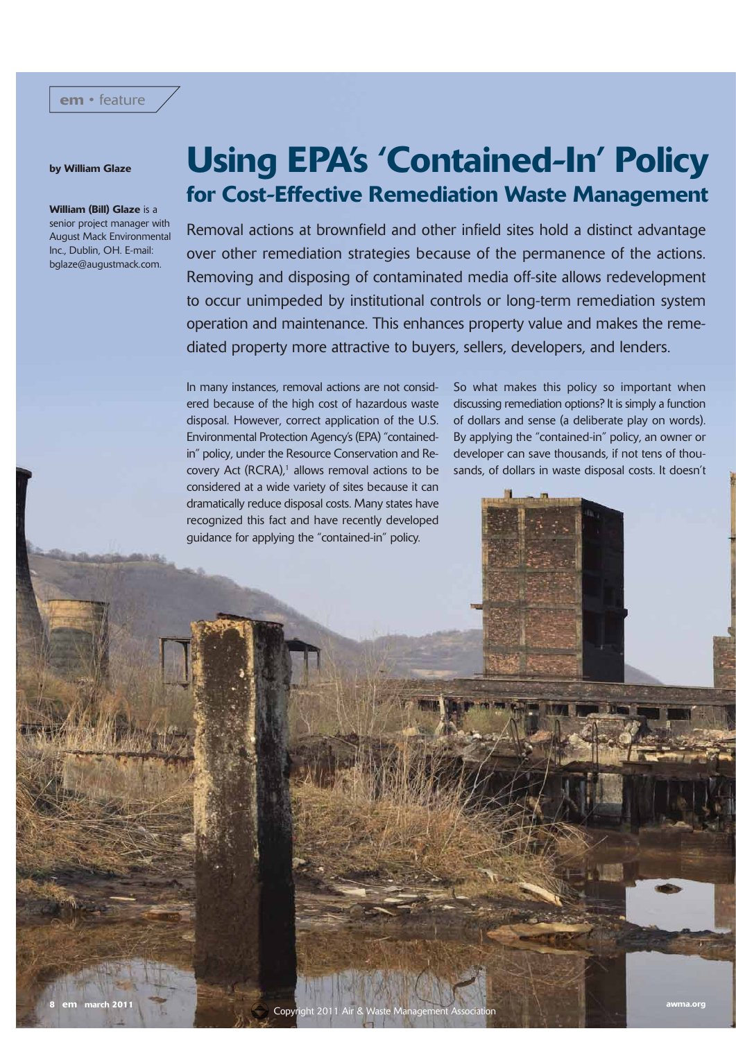## by William Glaze

#### William (Bill) Glaze is a senior project manager with August Mack Environmental Inc., Dublin, OH. E-mail: bglaze@augustmack.com.

# Using EPA's 'Contained-In' Policy for Cost-Effective Remediation Waste Management

Removal actions at brownfield and other infield sites hold a distinct advantage over other remediation strategies because of the permanence of the actions. Removing and disposing of contaminated media off-site allows redevelopment to occur unimpeded by institutional controls or long-term remediation system operation and maintenance. This enhances property value and makes the remediated property more attractive to buyers, sellers, developers, and lenders.

In many instances, removal actions are not considered because of the high cost of hazardous waste disposal. However, correct application of the U.S. Environmental Protection Agency's (EPA) "containedin" policy, under the Resource Conservation and Recovery Act (RCRA), $<sup>1</sup>$  allows removal actions to be</sup> considered at a wide variety of sites because it can dramatically reduce disposal costs. Many states have recognized this fact and have recently developed guidance for applying the "contained-in" policy.

So what makes this policy so important when discussing remediation options? It is simply a function of dollars and sense (a deliberate play on words). By applying the "contained-in" policy, an owner or developer can save thousands, if not tens of thousands, of dollars in waste disposal costs. It doesn't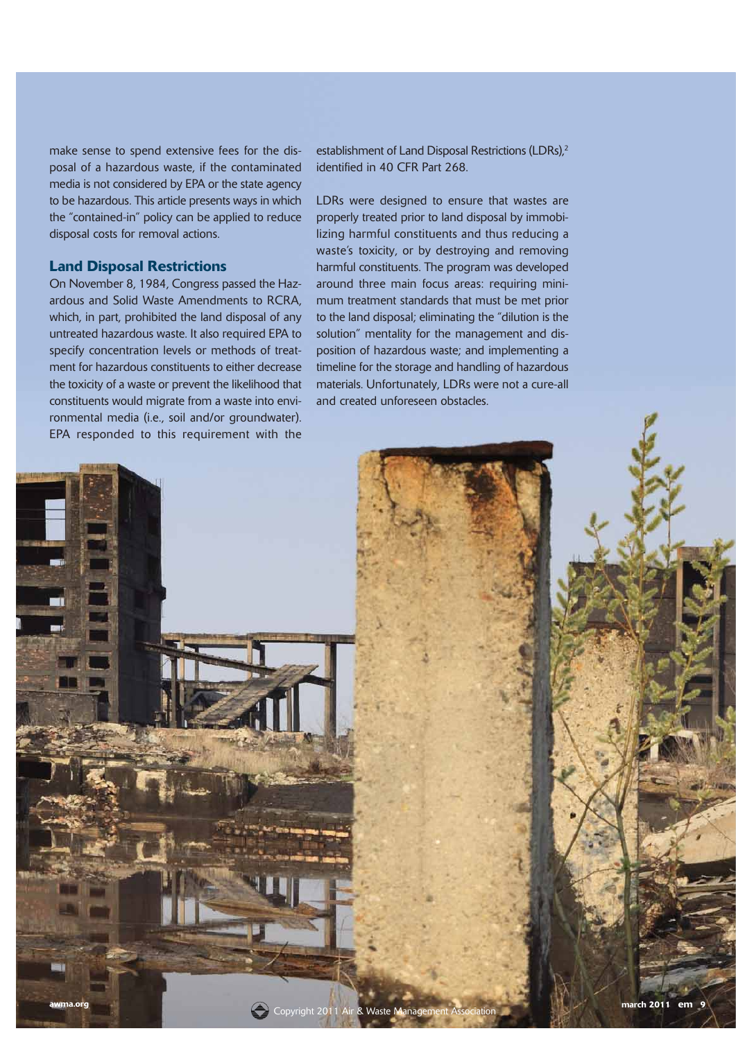make sense to spend extensive fees for the disposal of a hazardous waste, if the contaminated media is not considered by EPA or the state agency to be hazardous. This article presents ways in which the "contained-in" policy can be applied to reduce disposal costs for removal actions.

## Land Disposal Restrictions

On November 8, 1984, Congress passed the Hazardous and Solid Waste Amendments to RCRA, which, in part, prohibited the land disposal of any untreated hazardous waste. It also required EPA to specify concentration levels or methods of treatment for hazardous constituents to either decrease the toxicity of a waste or prevent the likelihood that constituents would migrate from a waste into environmental media (i.e., soil and/or groundwater). EPA responded to this requirement with the

establishment of Land Disposal Restrictions (LDRs),<sup>2</sup> identified in 40 CFR Part 268.

LDRs were designed to ensure that wastes are properly treated prior to land disposal by immobilizing harmful constituents and thus reducing a waste's toxicity, or by destroying and removing harmful constituents. The program was developed around three main focus areas: requiring minimum treatment standards that must be met prior to the land disposal; eliminating the "dilution is the solution" mentality for the management and disposition of hazardous waste; and implementing a timeline for the storage and handling of hazardous materials. Unfortunately, LDRs were not a cure-all and created unforeseen obstacles.

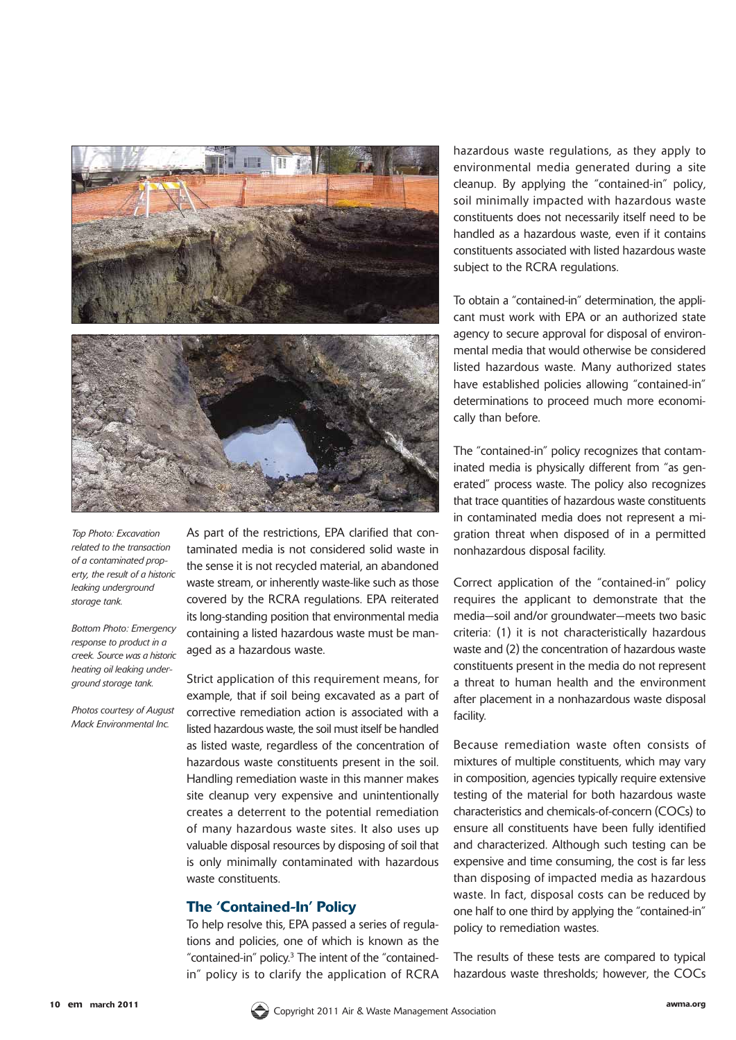

*Top Photo: Excavation related to the transaction of a contaminated property, the result of a historic leaking underground storage tank.*

*Bottom Photo: Emergency response to product in a creek. Source was a historic heating oil leaking underground storage tank.* 

*Photos courtesy of August Mack Environmental Inc.*

As part of the restrictions, EPA clarified that contaminated media is not considered solid waste in the sense it is not recycled material, an abandoned waste stream, or inherently waste-like such as those covered by the RCRA regulations. EPA reiterated its long-standing position that environmental media containing a listed hazardous waste must be managed as a hazardous waste.

Strict application of this requirement means, for example, that if soil being excavated as a part of corrective remediation action is associated with a listed hazardous waste, the soil must itself be handled as listed waste, regardless of the concentration of hazardous waste constituents present in the soil. Handling remediation waste in this manner makes site cleanup very expensive and unintentionally creates a deterrent to the potential remediation of many hazardous waste sites. It also uses up valuable disposal resources by disposing of soil that is only minimally contaminated with hazardous waste constituents.

#### The 'Contained-In' Policy

To help resolve this, EPA passed a series of regulations and policies, one of which is known as the "contained-in" policy.3 The intent of the "containedin" policy is to clarify the application of RCRA

hazardous waste regulations, as they apply to environmental media generated during a site cleanup. By applying the "contained-in" policy, soil minimally impacted with hazardous waste constituents does not necessarily itself need to be handled as a hazardous waste, even if it contains constituents associated with listed hazardous waste subject to the RCRA regulations.

To obtain a "contained-in" determination, the applicant must work with EPA or an authorized state agency to secure approval for disposal of environmental media that would otherwise be considered listed hazardous waste. Many authorized states have established policies allowing "contained-in" determinations to proceed much more economically than before.

The "contained-in" policy recognizes that contaminated media is physically different from "as generated" process waste. The policy also recognizes that trace quantities of hazardous waste constituents in contaminated media does not represent a migration threat when disposed of in a permitted nonhazardous disposal facility.

Correct application of the "contained-in" policy requires the applicant to demonstrate that the media—soil and/or groundwater—meets two basic criteria: (1) it is not characteristically hazardous waste and (2) the concentration of hazardous waste constituents present in the media do not represent a threat to human health and the environment after placement in a nonhazardous waste disposal facility.

Because remediation waste often consists of mixtures of multiple constituents, which may vary in composition, agencies typically require extensive testing of the material for both hazardous waste characteristics and chemicals-of-concern (COCs) to ensure all constituents have been fully identified and characterized. Although such testing can be expensive and time consuming, the cost is far less than disposing of impacted media as hazardous waste. In fact, disposal costs can be reduced by one half to one third by applying the "contained-in" policy to remediation wastes.

The results of these tests are compared to typical hazardous waste thresholds; however, the COCs